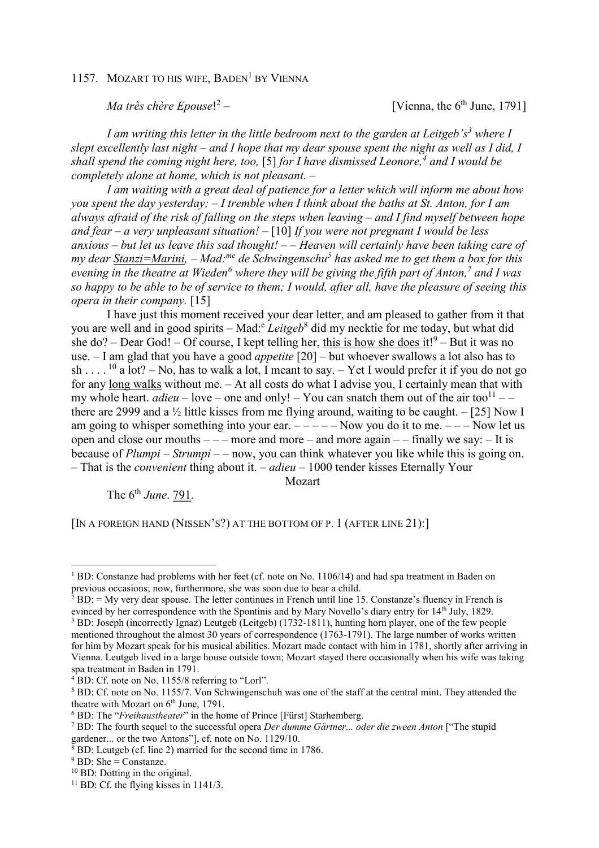## 1157. MOZART TO HIS WIFE, BADEN<sup>1</sup> BY VIENNA

*Ma très chère Epouse*! 2

[Vienna, the  $6<sup>th</sup>$  June, 1791]

*I am writing this letter in the little bedroom next to the garden at Leitgeb's<sup>3</sup> where I slept excellently last night – and I hope that my dear spouse spent the night as well as I did, I shall spend the coming night here, too,* [5] *for I have dismissed Leonore,<sup>4</sup> and I would be completely alone at home, which is not pleasant. –* 

*I am waiting with a great deal of patience for a letter which will inform me about how you spent the day yesterday; – I tremble when I think about the baths at St. Anton, for I am always afraid of the risk of falling on the steps when leaving – and I find myself between hope and fear – a very unpleasant situation! –* [10] *If you were not pregnant I would be less anxious – but let us leave this sad thought! – – Heaven will certainly have been taking care of my dear Stanzi=Marini, – Mad:me de Schwingenschu<sup>5</sup> has asked me to get them a box for this evening in the theatre at Wieden<sup>6</sup> where they will be giving the fifth part of Anton,<sup>7</sup> and I was so happy to be able to be of service to them; I would, after all, have the pleasure of seeing this opera in their company.* [15]

I have just this moment received your dear letter, and am pleased to gather from it that you are well and in good spirits – Mad:<sup>e</sup> Leitgeb<sup>8</sup> did my necktie for me today, but what did she do? – Dear God! – Of course, I kept telling her, this is how she does it!<sup>9</sup> – But it was no use. – I am glad that you have a good *appetite* [20] – but whoever swallows a lot also has to sh . . . .<sup>10</sup> a lot? – No, has to walk a lot. I meant to say. – Yet I would prefer it if you do not go for any long walks without me. – At all costs do what I advise you, I certainly mean that with my whole heart.  $adieu - love - one$  and only!  $-$  You can snatch them out of the air too<sup>11</sup>  $$ there are 2999 and a  $\frac{1}{2}$  little kisses from me flying around, waiting to be caught. – [25] Now I am going to whisper something into your ear.  $---$  Now you do it to me.  $---$  Now let us open and close our mouths  $---$  more and more  $---$  and more again  $---$  finally we say:  $---$  It is because of *Plumpi* – *Strumpi* – – now, you can think whatever you like while this is going on. – That is the *convenient* thing about it. – *adieu* – 1000 tender kisses Eternally Your

Mozart

The 6th *June*. 791.

[IN A FOREIGN HAND (NISSEN'S?) AT THE BOTTOM OF P. 1 (AFTER LINE 21):]

 $\overline{a}$ 

<sup>&</sup>lt;sup>1</sup> BD: Constanze had problems with her feet (cf. note on No. 1106/14) and had spa treatment in Baden on previous occasions; now, furthermore, she was soon due to bear a child.

 $2$  BD:  $=$  My very dear spouse. The letter continues in French until line 15. Constanze's fluency in French is evinced by her correspondence with the Spontinis and by Mary Novello's diary entry for 14<sup>th</sup> July, 1829. <sup>3</sup> BD: Joseph (incorrectly Ignaz) Leutgeb (Leitgeb) (1732-1811), hunting horn player, one of the few people mentioned throughout the almost 30 years of correspondence (1763-1791). The large number of works written for him by Mozart speak for his musical abilities. Mozart made contact with him in 1781, shortly after arriving in Vienna. Leutgeb lived in a large house outside town; Mozart stayed there occasionally when his wife was taking spa treatment in Baden in 1791.

<sup>&</sup>lt;sup>4</sup> BD: Cf. note on No. 1155/8 referring to "Lorl".

<sup>&</sup>lt;sup>5</sup> BD: Cf. note on No. 1155/7. Von Schwingenschuh was one of the staff at the central mint. They attended the theatre with Mozart on  $6<sup>th</sup>$  June, 1791.

<sup>6</sup> BD: The "*Freihaustheater*" in the home of Prince [Fürst] Starhemberg.

<sup>7</sup> BD: The fourth sequel to the successful opera *Der dumme Gärtner... oder die zween Anton* ["The stupid gardener... or the two Antons"], cf. note on No. 1129/10.

<sup>8</sup> BD: Leutgeb (cf. line 2) married for the second time in 1786.

 $9$  BD: She = Constanze.

<sup>10</sup> BD: Dotting in the original.

<sup>&</sup>lt;sup>11</sup> BD: Cf. the flying kisses in 1141/3.